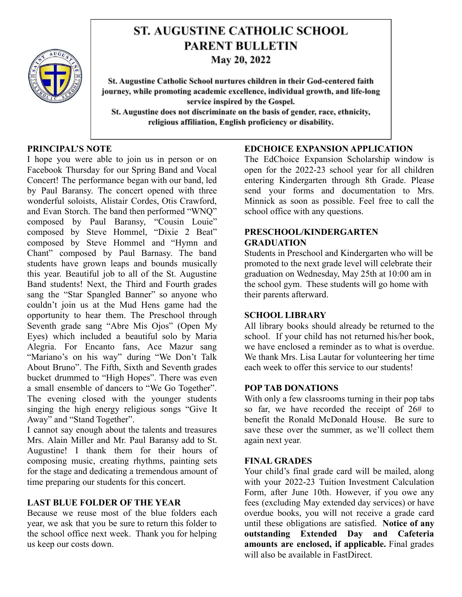

# **ST. AUGUSTINE CATHOLIC SCHOOL PARENT BULLETIN**

May 20, 2022

St. Augustine Catholic School nurtures children in their God-centered faith journey, while promoting academic excellence, individual growth, and life-long service inspired by the Gospel. St. Augustine does not discriminate on the basis of gender, race, ethnicity, religious affiliation, English proficiency or disability.

# **PRINCIPAL'S NOTE**

I hope you were able to join us in person or on Facebook Thursday for our Spring Band and Vocal Concert! The performance began with our band, led by Paul Baransy. The concert opened with three wonderful soloists, Alistair Cordes, Otis Crawford, and Evan Storch. The band then performed "WNQ" composed by Paul Baransy, "Cousin Louie" composed by Steve Hommel, "Dixie 2 Beat" composed by Steve Hommel and "Hymn and Chant" composed by Paul Barnasy. The band students have grown leaps and bounds musically this year. Beautiful job to all of the St. Augustine Band students! Next, the Third and Fourth grades sang the "Star Spangled Banner" so anyone who couldn't join us at the Mud Hens game had the opportunity to hear them. The Preschool through Seventh grade sang "Abre Mis Ojos" (Open My Eyes) which included a beautiful solo by Maria Alegria. For Encanto fans, Ace Mazur sang "Mariano's on his way" during "We Don't Talk About Bruno". The Fifth, Sixth and Seventh grades bucket drummed to "High Hopes". There was even a small ensemble of dancers to "We Go Together". The evening closed with the younger students singing the high energy religious songs "Give It Away" and "Stand Together".

I cannot say enough about the talents and treasures Mrs. Alain Miller and Mr. Paul Baransy add to St. Augustine! I thank them for their hours of composing music, creating rhythms, painting sets for the stage and dedicating a tremendous amount of time preparing our students for this concert.

# **LAST BLUE FOLDER OF THE YEAR**

Because we reuse most of the blue folders each year, we ask that you be sure to return this folder to the school office next week. Thank you for helping us keep our costs down.

# **EDCHOICE EXPANSION APPLICATION**

The EdChoice Expansion Scholarship window is open for the 2022-23 school year for all children entering Kindergarten through 8th Grade. Please send your forms and documentation to Mrs. Minnick as soon as possible. Feel free to call the school office with any questions.

#### **PRESCHOOL/KINDERGARTEN GRADUATION**

Students in Preschool and Kindergarten who will be promoted to the next grade level will celebrate their graduation on Wednesday, May 25th at 10:00 am in the school gym. These students will go home with their parents afterward.

# **SCHOOL LIBRARY**

All library books should already be returned to the school. If your child has not returned his/her book, we have enclosed a reminder as to what is overdue. We thank Mrs. Lisa Lautar for volunteering her time each week to offer this service to our students!

# **POP TAB DONATIONS**

With only a few classrooms turning in their pop tabs so far, we have recorded the receipt of 26# to benefit the Ronald McDonald House. Be sure to save these over the summer, as we'll collect them again next year.

#### **FINAL GRADES**

Your child's final grade card will be mailed, along with your 2022-23 Tuition Investment Calculation Form, after June 10th. However, if you owe any fees (excluding May extended day services) or have overdue books, you will not receive a grade card until these obligations are satisfied. **Notice of any outstanding Extended Day and Cafeteria amounts are enclosed, if applicable.** Final grades will also be available in FastDirect.